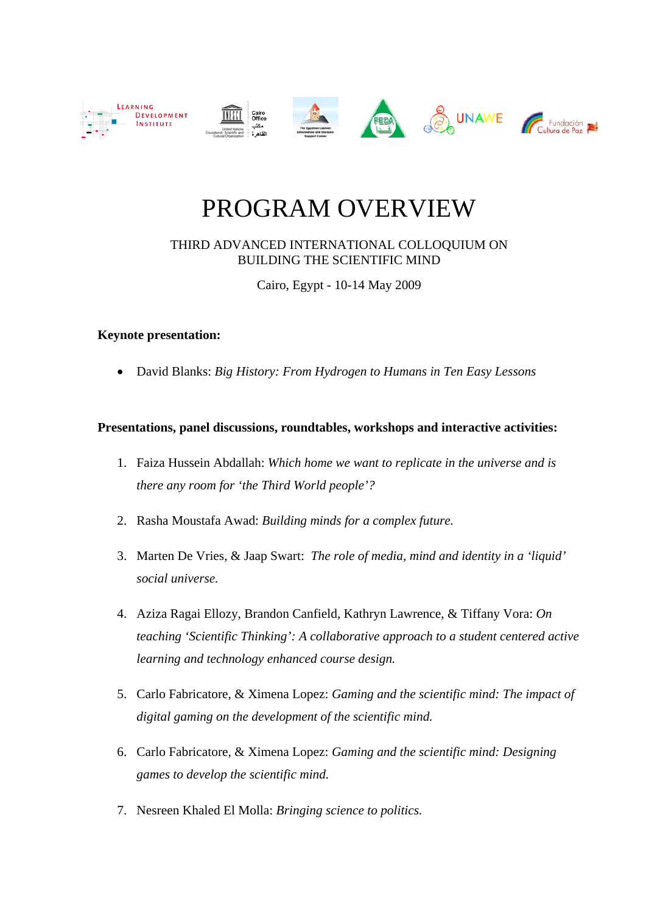

## PROGRAM OVERVIEW

THIRD ADVANCED INTERNATIONAL COLLOQUIUM ON BUILDING THE SCIENTIFIC MIND

Cairo, Egypt - 10-14 May 2009

## **Keynote presentation:**

• David Blanks: *Big History: From Hydrogen to Humans in Ten Easy Lessons* 

## **Presentations, panel discussions, roundtables, workshops and interactive activities:**

- 1. Faiza Hussein Abdallah: *Which home we want to replicate in the universe and is there any room for 'the Third World people'?*
- 2. Rasha Moustafa Awad: *Building minds for a complex future.*
- 3. Marten De Vries, & Jaap Swart: *The role of media, mind and identity in a 'liquid' social universe.*
- 4. Aziza Ragai Ellozy, Brandon Canfield, Kathryn Lawrence, & Tiffany Vora: *On teaching 'Scientific Thinking': A collaborative approach to a student centered active learning and technology enhanced course design.*
- 5. Carlo Fabricatore, & Ximena Lopez: *Gaming and the scientific mind: The impact of digital gaming on the development of the scientific mind.*
- 6. Carlo Fabricatore, & Ximena Lopez: *Gaming and the scientific mind: Designing games to develop the scientific mind.*
- 7. Nesreen Khaled El Molla: *Bringing science to politics.*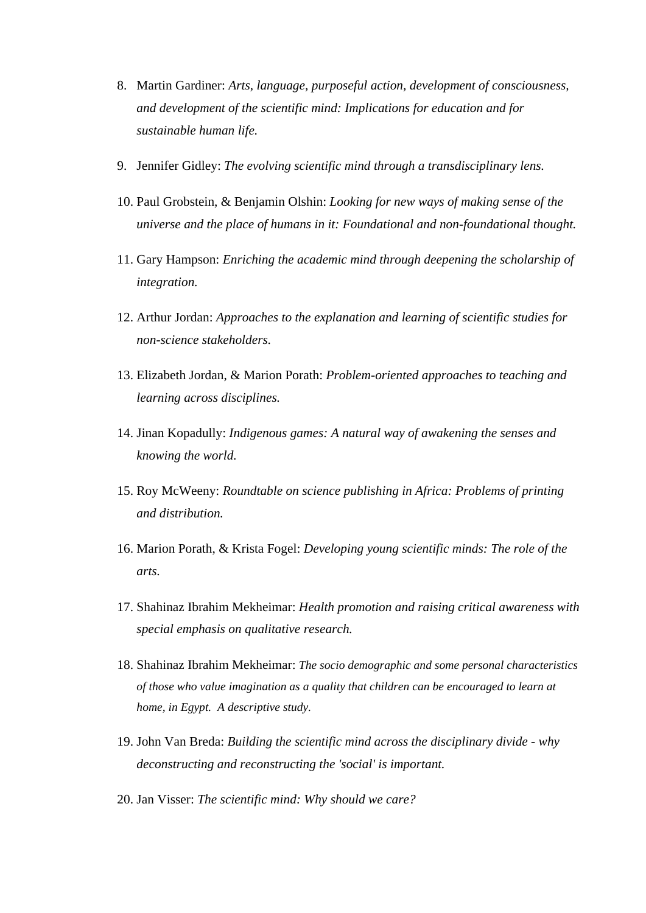- 8. Martin Gardiner: *Arts, language, purposeful action, development of consciousness, and development of the scientific mind: Implications for education and for sustainable human life.*
- 9. Jennifer Gidley: *The evolving scientific mind through a transdisciplinary lens.*
- 10. Paul Grobstein, & Benjamin Olshin: *Looking for new ways of making sense of the universe and the place of humans in it: Foundational and non-foundational thought.*
- 11. Gary Hampson: *Enriching the academic mind through deepening the scholarship of integration.*
- 12. Arthur Jordan: *Approaches to the explanation and learning of scientific studies for non-science stakeholders.*
- 13. Elizabeth Jordan, & Marion Porath: *Problem-oriented approaches to teaching and learning across disciplines.*
- 14. Jinan Kopadully: *Indigenous games: A natural way of awakening the senses and knowing the world.*
- 15. Roy McWeeny: *Roundtable on science publishing in Africa: Problems of printing and distribution.*
- 16. Marion Porath, & Krista Fogel: *Developing young scientific minds: The role of the arts.*
- 17. Shahinaz Ibrahim Mekheimar: *Health promotion and raising critical awareness with special emphasis on qualitative research.*
- 18. Shahinaz Ibrahim Mekheimar: *The socio demographic and some personal characteristics of those who value imagination as a quality that children can be encouraged to learn at home, in Egypt. A descriptive study.*
- 19. John Van Breda: *Building the scientific mind across the disciplinary divide why deconstructing and reconstructing the 'social' is important.*
- 20. Jan Visser: *The scientific mind: Why should we care?*